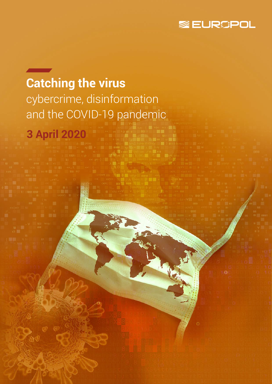

# **Catching the virus**  cybercrime, disinformation and the COVID-19 pandemic

**3 April 2020**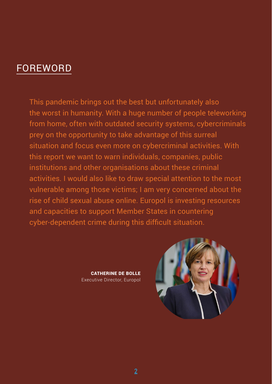## FOREWORD

This pandemic brings out the best but unfortunately also the worst in humanity. With a huge number of people teleworking from home, often with outdated security systems, cybercriminals prey on the opportunity to take advantage of this surreal situation and focus even more on cybercriminal activities. With this report we want to warn individuals, companies, public institutions and other organisations about these criminal activities. I would also like to draw special attention to the most vulnerable among those victims; I am very concerned about the rise of child sexual abuse online. Europol is investing resources and capacities to support Member States in countering cyber-dependent crime during this difficult situation.

> CATHERINE DE BOLLE Executive Director, Europol

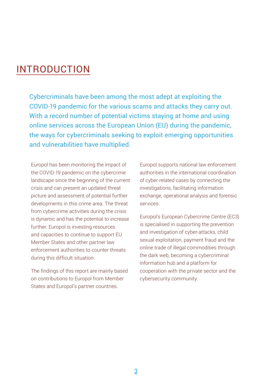## INTRODUCTION

Cybercriminals have been among the most adept at exploiting the COVID-19 pandemic for the various scams and attacks they carry out. With a record number of potential victims staying at home and using online services across the European Union (EU) during the pandemic, the ways for cybercriminals seeking to exploit emerging opportunities and vulnerabilities have multiplied.

Europol has been monitoring the impact of the COVID-19 pandemic on the cybercrime landscape since the beginning of the current crisis and can present an updated threat picture and assessment of potential further developments in this crime area. The threat from cybercrime activities during the crisis is dynamic and has the potential to increase further. Europol is investing resources and capacities to continue to support EU Member States and other partner law enforcement authorities to counter threats during this difficult situation.

The findings of this report are mainly based on contributions to Europol from Member States and Europol's partner countries.

Europol supports national law enforcement authorities in the international coordination of cyber-related cases by connecting the investigations, facilitating information exchange, operational analysis and forensic services.

Europol's European Cybercrime Centre (EC3) is specialised in supporting the prevention and investigation of cyber-attacks, child sexual exploitation, payment fraud and the online trade of illegal commodities through the dark web, becoming a cybercriminal information hub and a platform for cooperation with the private sector and the cybersecurity community.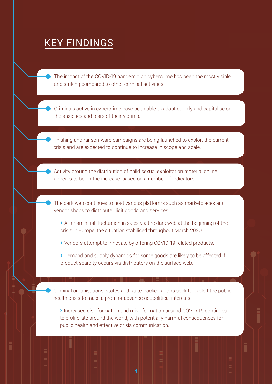## KEY FINDINGS

The impact of the COVID-19 pandemic on cybercrime has been the most visible and striking compared to other criminal activities.

Criminals active in cybercrime have been able to adapt quickly and capitalise on the anxieties and fears of their victims.

Phishing and ransomware campaigns are being launched to exploit the current crisis and are expected to continue to increase in scope and scale.

Activity around the distribution of child sexual exploitation material online appears to be on the increase, based on a number of indicators.

The dark web continues to host various platforms such as marketplaces and vendor shops to distribute illicit goods and services.

› After an initial fluctuation in sales via the dark web at the beginning of the crisis in Europe, the situation stabilised throughout March 2020.

› Vendors attempt to innovate by offering COVID-19 related products.

› Demand and supply dynamics for some goods are likely to be affected if product scarcity occurs via distributors on the surface web.

Criminal organisations, states and state-backed actors seek to exploit the public health crisis to make a profit or advance geopolitical interests.

› Increased disinformation and misinformation around COVID-19 continues to proliferate around the world, with potentially harmful consequences for public health and effective crisis communication.

4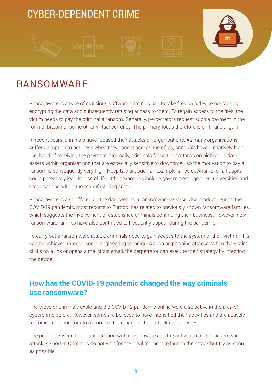## CYBER-DEPENDENT CRIME









## RANSOMWARE

Ransomware is a type of malicious software criminals use to take files on a device hostage by encrypting the data and subsequently refusing access to them. To regain access to the files, the victim needs to pay the criminal a ransom. Generally, perpetrators request such a payment in the form of bitcoin or some other virtual currency. The primary focus therefore is on financial gain.

In recent years, criminals have focused their attacks on organisations. As many organisations suffer disruption to business when they cannot access their files, criminals have a relatively high likelihood of receiving the payment. Normally, criminals focus their attacks on high-value data or assets within organisations that are especially sensitive to downtime—so the motivation to pay a ransom is consequently very high. Hospitals are such an example, since downtime for a hospital could potentially lead to loss of life. Other examples include government agencies, universities and organisations within the manufacturing sector.

Ransomware is also offered on the dark web as a ransomware-as-a-service product. During the COVID-19 pandemic, most reports to Europol has related to previously known ransomware families, which suggests the involvement of established criminals continuing their business. However, new ransomware families have also continued to frequently appear during the pandemic.

To carry out a ransomware attack, criminals need to gain access to the system of their victim. This can be achieved through social engineering techniques such as phishing attacks. When the victim clicks on a link or opens a malicious email, the perpetrator can execute their strategy by infecting the device.

### **How has the COVID-19 pandemic changed the way criminals use ransomware?**

The types of criminals exploiting the COVID-19 pandemic online were also active in the area of cybercrime before. However, some are believed to have intensified their activities and are actively recruiting collaborators to maximise the impact of their attacks or schemes.

The period between the initial infection with ransomware and the activation of the ransomware attack is shorter. Criminals do not wait for the ideal moment to launch the attack but try as soon as possible.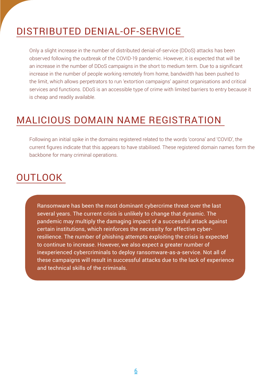## DISTRIBUTED DENIAL-OF-SERVICE

Only a slight increase in the number of distributed denial-of-service (DDoS) attacks has been observed following the outbreak of the COVID-19 pandemic. However, it is expected that will be an increase in the number of DDoS campaigns in the short to medium term. Due to a significant increase in the number of people working remotely from home, bandwidth has been pushed to the limit, which allows perpetrators to run 'extortion campaigns' against organisations and critical services and functions. DDoS is an accessible type of crime with limited barriers to entry because it is cheap and readily available.

## MALICIOUS DOMAIN NAME REGISTRATION

Following an initial spike in the domains registered related to the words 'corona' and 'COVID', the current figures indicate that this appears to have stabilised. These registered domain names form the backbone for many criminal operations.

## **OUTLOOK**

Ransomware has been the most dominant cybercrime threat over the last several years. The current crisis is unlikely to change that dynamic. The pandemic may multiply the damaging impact of a successful attack against certain institutions, which reinforces the necessity for effective cyberresilience. The number of phishing attempts exploiting the crisis is expected to continue to increase. However, we also expect a greater number of inexperienced cybercriminals to deploy ransomware-as-a-service. Not all of these campaigns will result in successful attacks due to the lack of experience and technical skills of the criminals.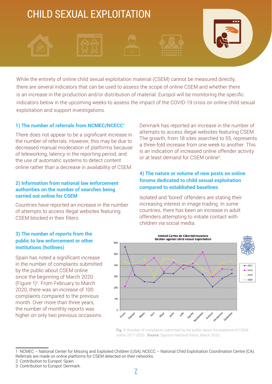# CHILD SEXUAL EXPLOITATION

While the entirety of online child sexual exploitation material (CSEM) cannot be measured directly, there are several indicators that can be used to assess the scope of online CSEM and whether there is an increase in the production and/or distribution of material. Europol will be monitoring the specific indicators below in the upcoming weeks to assess the impact of the COVID-19 crisis on online child sexual exploitation and support investigations.

#### **1) The number of referrals from NCMEC/NCECC1**

There does not appear to be a significant increase in the number of referrals. However, this may be due to decreased manual moderation of platforms because of teleworking, latency in the reporting period, and the use of automatic systems to detect content online rather than a decrease in availability of CSEM.

#### **2) Information from national law enforcement authorities on the number of searches being carried out online for CSEM**

Countries have reported an increase in the number of attempts to access illegal websites featuring CSEM blocked in their filters.

#### **3) The number of reports from the public to law enforcement or other institutions (hotlines)**

Spain has noted a significant increase in the number of complaints submitted by the public about CSEM online since the beginning of March 2020 (Figure 1)2. From February to March 2020, there was an increase of 100 complaints compared to the previous month. Over more than three years, the number of monthly reports was higher on only two previous occasions. Denmark has reported an increase in the number of attempts to access illegal websites featuring CSEM. The growth, from 18 sites searched to 55, represents a three-fold increase from one week to another. This is an indication of increased online offender activity or at least demand for CSEM online3.

#### **4) The nature or volume of new posts on online forums dedicated to child sexual exploitation compared to established baselines**

Isolated and 'bored' offenders are stating their increasing interest in image trading. In some countries, there has been an increase in adult offenders attempting to initiate contact with children via social media.



Fig. 1: Number of complaints submitted by the public about the presence of CSEM online 2017-2020. Source: Spanish National Police, March 2020.

<sup>1</sup> NCMEC – National Center for Missing and Exploited Children (USA), NCECC – National Child Exploitation Coordination Centre (CA). Referrals are made on online platforms for CSEM detected on their networks.

<sup>2</sup> Contribution to Europol: Spain.

<sup>3</sup> Contribution to Europol: Denmark.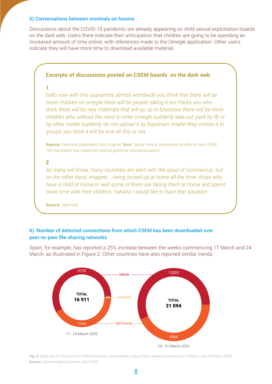#### **5) Conversations between criminals on forums**

Discussions about the COVID-19 pandemic are already appearing on child sexual exploitation boards on the dark web. Users there indicate their anticipation that children are going to be spending an increased amount of time online, with references made to the Omegle application. Other users indicate they will have more time to download available material.

#### **Excerpts of discussions posted on CSEM boards on the dark web**

*hello now with this quarantine almost worldwide you think that there will be more children on omegle there will be people taking it out Packs you who think there will be new materials that will go up in boystown there will be more children who without the need to enter omegle suddenly take out pack by fb or by other media suddenly do not upload it by boystown maybe they viralise it in groups you think it will be true all this or not*

Source: *Dark web (translated from original. Note: 'packs' here is understood to refer to new CSEM. The translation has respected original grammar and punctuation).*

#### **2**

**1**

*As many will know, many countries are alert with the issue of coronavirus. but on the other hand, imagine.... being locked up at home all the time. those who have a child at home or well some of them are taking them at home and spend more time with their children. hahaha I would like to have that situation*

Source: *Dark web*

#### **6) Number of detected connections from which CSEM has been downloaded over peer-to-peer file-sharing networks**

Spain, for example, has reported a 25% increase between the weeks commencing 17 March and 24 March, as illustrated in Figure 2. Other countries have also reported similar trends.



Fig. 2: Detected IPs from which CSEM have been downloaded in Spain from weeks commencing 17 March and 24 March 2020. Source: Spanish National Police, April 2020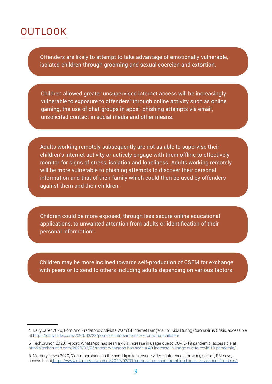## **OUTLOOK**

Offenders are likely to attempt to take advantage of emotionally vulnerable, isolated children through grooming and sexual coercion and extortion.

Children allowed greater unsupervised internet access will be increasingly vulnerable to exposure to offenders<sup>4</sup> through online activity such as online gaming, the use of chat groups in apps<sup>5,</sup> phishing attempts via email, unsolicited contact in social media and other means.

Adults working remotely subsequently are not as able to supervise their children's internet activity or actively engage with them offline to effectively monitor for signs of stress, isolation and loneliness. Adults working remotely will be more vulnerable to phishing attempts to discover their personal information and that of their family which could then be used by offenders against them and their children.

Children could be more exposed, through less secure online educational applications, to unwanted attention from adults or identification of their personal information<sup>6</sup>.

Children may be more inclined towards self-production of CSEM for exchange with peers or to send to others including adults depending on various factors.

<sup>4</sup> DailyCaller 2020, Porn And Predators: Activists Warn Of Internet Dangers For Kids During Coronavirus Crisis, accessible at [https://dailycaller.com/2020/03/28/porn-predators-internet-coronavirus-children/](https://dailycaller.com/2020/03/28/porn-predators-internet-coronavirus-children/ ) 

<sup>5</sup> TechCrunch 2020, Report: WhatsApp has seen a 40% increase in usage due to COVID-19 pandemic, accessible at [https://techcrunch.com/2020/03/26/report-whatsapp-has-seen-a-40-increase-in-usage-due-to-covid-19-pandemic/](https://techcrunch.com/2020/03/26/report-whatsapp-has-seen-a-40-increase-in-usage-due-to-covid-19-pa) 

<sup>6</sup> Mercury News 2020, 'Zoom-bombing' on the rise: Hijackers invade videoconferences for work, school, FBI says, accessible a[t https://www.mercurynews.com/2020/03/31/coronavirus-zoom-bombing-hijackers-videoconferences/]( https://www.mercurynews.com/2020/03/31/coronavirus-zoom-bombing-hijackers-videoconferences/  )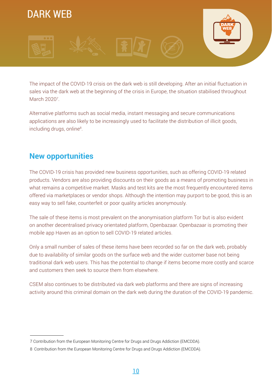

The impact of the COVID-19 crisis on the dark web is still developing. After an initial fluctuation in sales via the dark web at the beginning of the crisis in Europe, the situation stabilised throughout March 2020<sup>7</sup>.

Alternative platforms such as social media, instant messaging and secure communications applications are also likely to be increasingly used to facilitate the distribution of illicit goods, including drugs, online<sup>8</sup>.

#### **New opportunities**

The COVID-19 crisis has provided new business opportunities, such as offering COVID-19 related products. Vendors are also providing discounts on their goods as a means of promoting business in what remains a competitive market. Masks and test kits are the most frequently encountered items offered via marketplaces or vendor shops. Although the intention may purport to be good, this is an easy way to sell fake, counterfeit or poor quality articles anonymously.

The sale of these items is most prevalent on the anonymisation platform Tor but is also evident on another decentralised privacy orientated platform, Openbazaar. Openbazaar is promoting their mobile app Haven as an option to sell COVID-19 related articles.

Only a small number of sales of these items have been recorded so far on the dark web, probably due to availability of similar goods on the surface web and the wider customer base not being traditional dark web users. This has the potential to change if items become more costly and scarce and customers then seek to source them from elsewhere.

CSEM also continues to be distributed via dark web platforms and there are signs of increasing activity around this criminal domain on the dark web during the duration of the COVID-19 pandemic.

<sup>7</sup> Contribution from the European Monitoring Centre for Drugs and Drugs Addiction (EMCDDA).

<sup>8</sup> Contribution from the European Monitoring Centre for Drugs and Drugs Addiction (EMCDDA).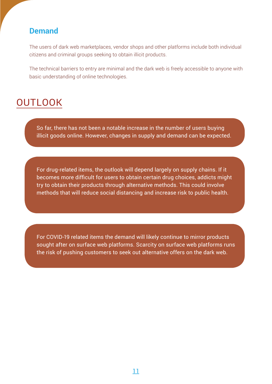#### **Demand**

The users of dark web marketplaces, vendor shops and other platforms include both individual citizens and criminal groups seeking to obtain illicit products.

The technical barriers to entry are minimal and the dark web is freely accessible to anyone with basic understanding of online technologies.

## **OUTLOOK**

So far, there has not been a notable increase in the number of users buying illicit goods online. However, changes in supply and demand can be expected.

For drug-related items, the outlook will depend largely on supply chains. If it becomes more difficult for users to obtain certain drug choices, addicts might try to obtain their products through alternative methods. This could involve methods that will reduce social distancing and increase risk to public health.

For COVID-19 related items the demand will likely continue to mirror products sought after on surface web platforms. Scarcity on surface web platforms runs the risk of pushing customers to seek out alternative offers on the dark web.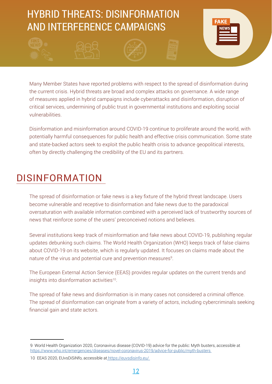## HYBRID THREATS: DISINFORMATION AND INTERFERENCE CAMPAIGNS



Many Member States have reported problems with respect to the spread of disinformation during the current crisis. Hybrid threats are broad and complex attacks on governance. A wide range of measures applied in hybrid campaigns include cyberattacks and disinformation, disruption of critical services, undermining of public trust in governmental institutions and exploiting social vulnerabilities.

Disinformation and misinformation around COVID-19 continue to proliferate around the world, with potentially harmful consequences for public health and effective crisis communication. Some state and state-backed actors seek to exploit the public health crisis to advance geopolitical interests, often by directly challenging the credibility of the EU and its partners.

## DISINFORMATION

The spread of disinformation or fake news is a key fixture of the hybrid threat landscape. Users become vulnerable and receptive to disinformation and fake news due to the paradoxical oversaturation with available information combined with a perceived lack of trustworthy sources of news that reinforce some of the users' preconceived notions and believes.

Several institutions keep track of misinformation and fake news about COVID-19, publishing regular updates debunking such claims. The World Health Organization (WHO) keeps track of false claims about COVID-19 on its website, which is regularly updated. It focuses on claims made about the nature of the virus and potential cure and prevention measures $^{\rm 9}$ .

The European External Action Service (EEAS) provides regular updates on the current trends and insights into disinformation activities<sup>10</sup>.

The spread of fake news and disinformation is in many cases not considered a criminal offence. The spread of disinformation can originate from a variety of actors, including cybercriminals seeking financial gain and state actors.

<sup>9</sup> World Health Organization 2020, Coronavirus disease (COVID-19) advice for the public: Myth busters, accessible at [https://www.who.int/emergencies/diseases/novel-coronavirus-2019/advice-for-public/myth-busters](https://www.who.int/emergencies/diseases/novel-coronavirus-2019/advice-for-public/myth-busters ) 

<sup>10</sup> EEAS 2020, EUvsDiSiNfo, accessible at [https://euvsdisinfo.eu/]( https://euvsdisinfo.eu/ )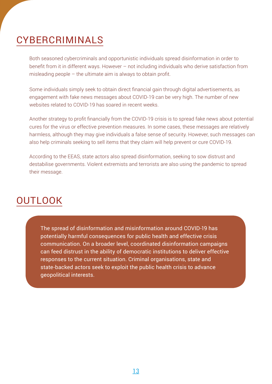## CYBERCRIMINALS

Both seasoned cybercriminals and opportunistic individuals spread disinformation in order to benefit from it in different ways. However – not including individuals who derive satisfaction from misleading people  $-$  the ultimate aim is always to obtain profit.

Some individuals simply seek to obtain direct financial gain through digital advertisements, as engagement with fake news messages about COVID-19 can be very high. The number of new websites related to COVID-19 has soared in recent weeks.

Another strategy to profit financially from the COVID-19 crisis is to spread fake news about potential cures for the virus or effective prevention measures. In some cases, these messages are relatively harmless, although they may give individuals a false sense of security. However, such messages can also help criminals seeking to sell items that they claim will help prevent or cure COVID-19.

According to the EEAS, state actors also spread disinformation, seeking to sow distrust and destabilise governments. Violent extremists and terrorists are also using the pandemic to spread their message.

## **OUTLOOK**

The spread of disinformation and misinformation around COVID-19 has potentially harmful consequences for public health and effective crisis communication. On a broader level, coordinated disinformation campaigns can feed distrust in the ability of democratic institutions to deliver effective responses to the current situation. Criminal organisations, state and state-backed actors seek to exploit the public health crisis to advance geopolitical interests.